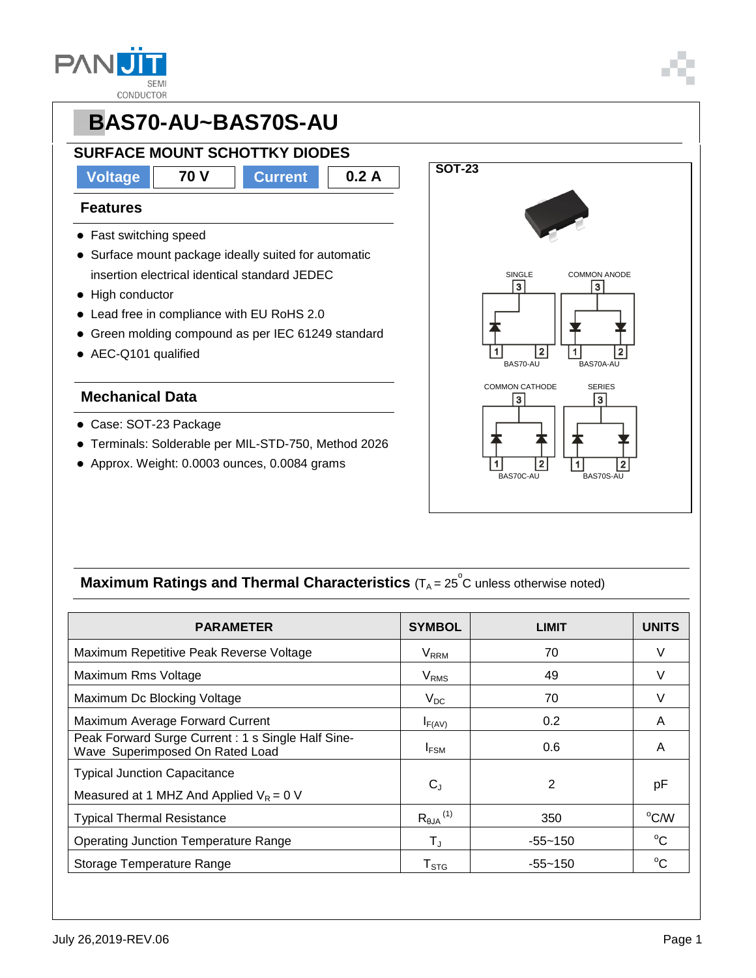

# **PBAS70-AU~BAS70S-AU SURFACE MOUNT SCHOTTKY DIODES Voltage 70 V Current 0.2 A**

#### **Features**

- Fast switching speed
- Surface mount package ideally suited for automatic insertion electrical identical standard JEDEC
- High conductor
- Lead free in compliance with EU RoHS 2.0
- Green molding compound as per IEC 61249 standard
- AEC-Q101 qualified

#### **Mechanical Data**

- Case: SOT-23 Package
- Terminals: Solderable per MIL-STD-750, Method 2026
- Approx. Weight: 0.0003 ounces, 0.0084 grams



### **Maximum Ratings and Thermal Characteristics** (T<sub>A</sub> = 25<sup>°</sup>C unless otherwise noted)

| <b>PARAMETER</b>                                                                      | <b>SYMBOL</b>                 | <b>LIMIT</b> | <b>UNITS</b>   |
|---------------------------------------------------------------------------------------|-------------------------------|--------------|----------------|
| Maximum Repetitive Peak Reverse Voltage                                               | <b>V</b> <sub>RRM</sub>       | 70           | V              |
| Maximum Rms Voltage                                                                   | <b>V<sub>RMS</sub></b>        | 49           | V              |
| Maximum Dc Blocking Voltage                                                           | $V_{DC}$                      | 70           |                |
| Maximum Average Forward Current                                                       | $I_{F(AV)}$                   | 0.2          | A              |
| Peak Forward Surge Current : 1 s Single Half Sine-<br>Wave Superimposed On Rated Load | $I_{FSM}$                     | 0.6          | A              |
| <b>Typical Junction Capacitance</b><br>Measured at 1 MHZ And Applied $V_R = 0$ V      | $C_{J}$                       | 2            | рF             |
| <b>Typical Thermal Resistance</b>                                                     | $R_{\theta$ JA <sup>(1)</sup> | 350          | $\rm ^{o}$ C/W |
| <b>Operating Junction Temperature Range</b>                                           | $\mathsf{T}_\mathrm{J}$       | $-55 - 150$  | $^{\circ}C$    |
| Storage Temperature Range                                                             | $\mathsf{T}_{\texttt{STG}}$   | $-55 - 150$  | $^{\circ}C$    |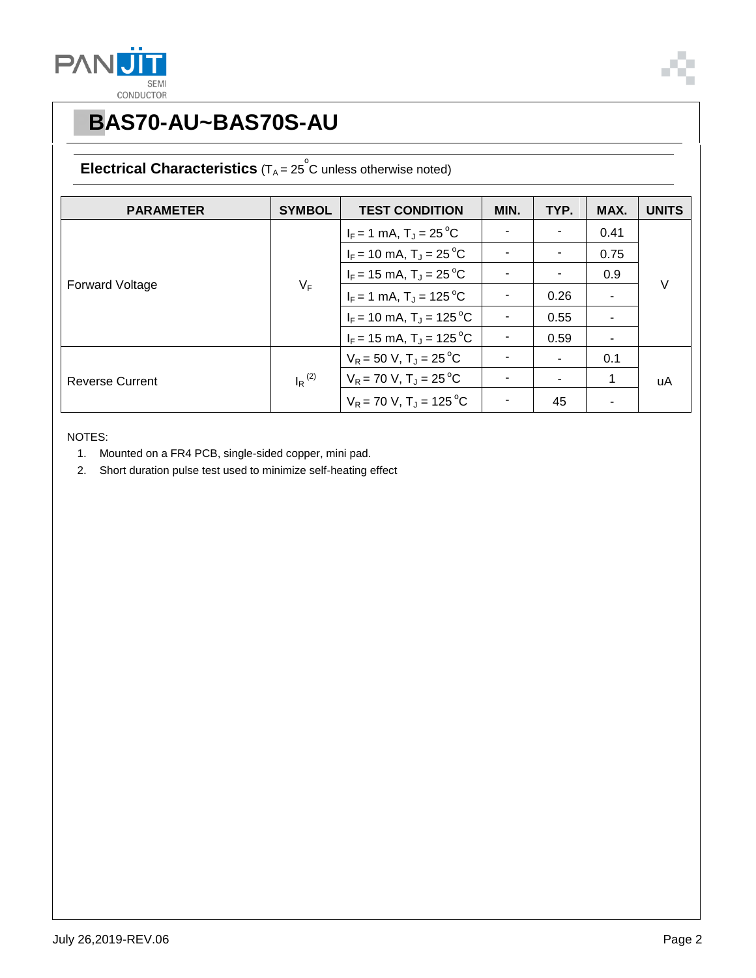



## **PBAS70-AU~BAS70S-AU**

### **Electrical Characteristics**  $(T_A = 25^\circ \text{C}$  unless otherwise noted)

| <b>PARAMETER</b>       | <b>SYMBOL</b>        | <b>TEST CONDITION</b>                  | MIN. | TYP. | MAX. | <b>UNITS</b> |
|------------------------|----------------------|----------------------------------------|------|------|------|--------------|
| <b>Forward Voltage</b> | $V_F$                | $I_F = 1$ mA, $T_J = 25$ °C            |      |      | 0.41 | $\vee$       |
|                        |                      | $I_F$ = 10 mA, T <sub>J</sub> = 25 °C  |      |      | 0.75 |              |
|                        |                      | $I_F$ = 15 mA, T <sub>J</sub> = 25 °C  |      |      | 0.9  |              |
|                        |                      | $I_F = 1$ mA, $T_J = 125$ °C           |      | 0.26 |      |              |
|                        |                      | $I_F$ = 10 mA, T <sub>J</sub> = 125 °C |      | 0.55 |      |              |
|                        |                      | $I_F$ = 15 mA, T <sub>J</sub> = 125 °C |      | 0.59 | ۰    |              |
| <b>Reverse Current</b> | $I_R$ <sup>(2)</sup> | $V_R$ = 50 V, T <sub>J</sub> = 25 °C   |      |      | 0.1  | uA           |
|                        |                      | $V_R$ = 70 V, T <sub>J</sub> = 25 °C   |      |      | 1    |              |
|                        |                      | $V_R$ = 70 V, T <sub>J</sub> = 125 °C  |      | 45   |      |              |

NOTES:

- 1. Mounted on a FR4 PCB, single-sided copper, mini pad.
- 2. Short duration pulse test used to minimize self-heating effect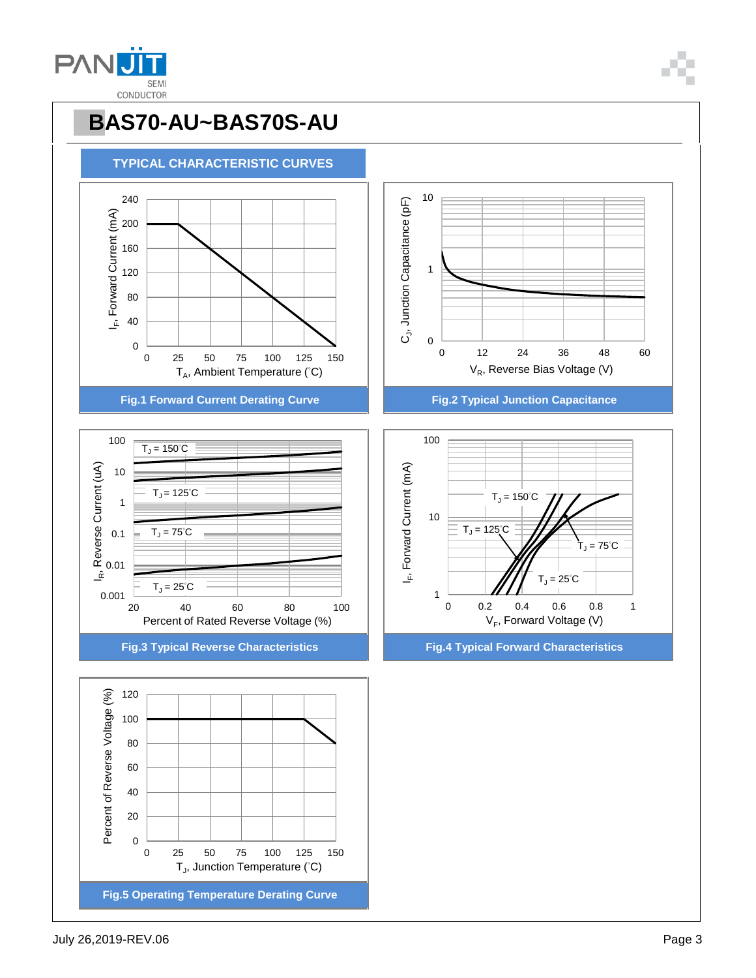

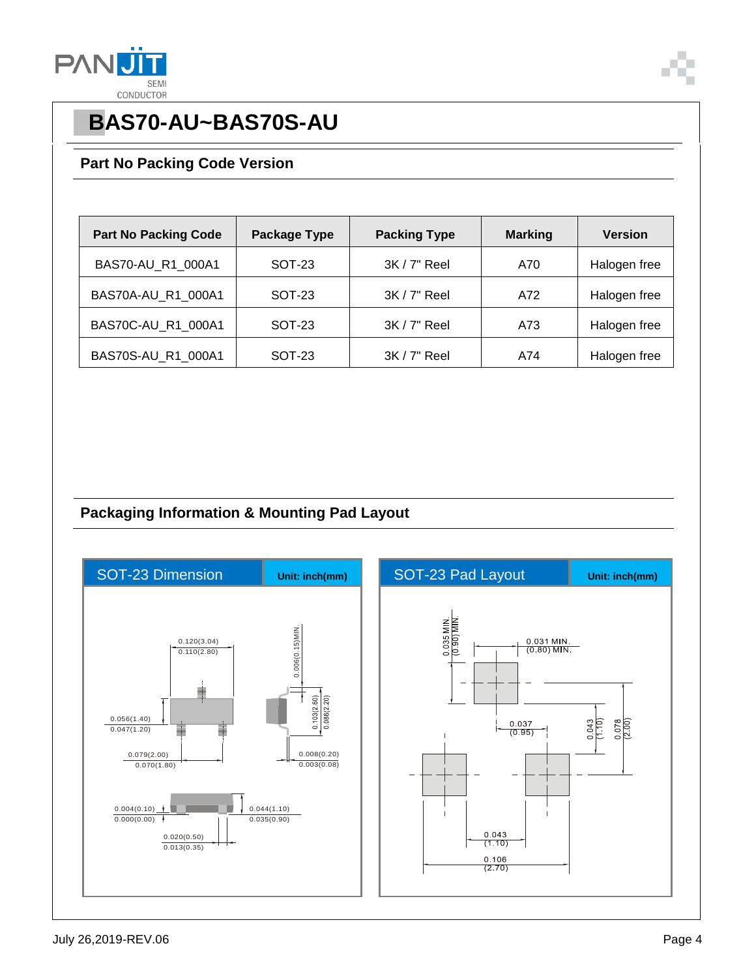



## **PBAS70-AU~BAS70S-AU**

#### **Part No Packing Code Version**

| <b>Part No Packing Code</b> | Package Type | <b>Packing Type</b> | <b>Marking</b> | <b>Version</b> |
|-----------------------------|--------------|---------------------|----------------|----------------|
| BAS70-AU_R1_000A1           | SOT-23       | $3K/7"$ Reel        | A70            | Halogen free   |
| BAS70A-AU R1 000A1          | SOT-23       | $3K/7"$ Reel        | A72            | Halogen free   |
| BAS70C-AU_R1_000A1          | SOT-23       | $3K/7"$ Reel        | A73            | Halogen free   |
| BAS70S-AU R1 000A1          | SOT-23       | $3K/7"$ Reel        | A74            | Halogen free   |

### **Packaging Information & Mounting Pad Layout**